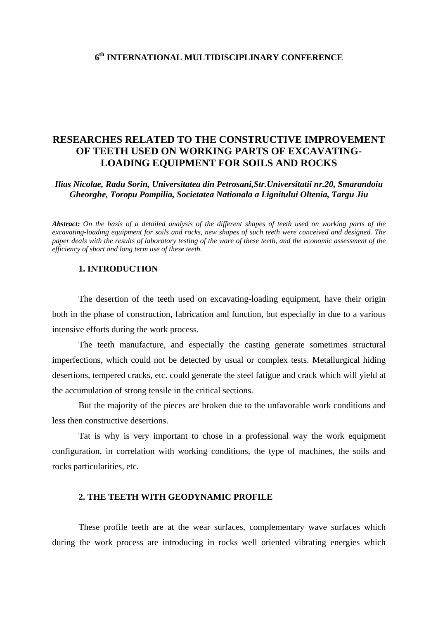### **6th INTERNATIONAL MULTIDISCIPLINARY CONFERENCE**

## **RESEARCHES RELATED TO THE CONSTRUCTIVE IMPROVEMENT OF TEETH USED ON WORKING PARTS OF EXCAVATING-LOADING EQUIPMENT FOR SOILS AND ROCKS**

*Ilias Nicolae, Radu Sorin, Universitatea din Petrosani,Str.Universitatii nr.20, Smarandoiu Gheorghe, Toropu Pompilia, Societatea Nationala a Lignitului Oltenia, Targu Jiu* 

*Abstract: On the basis of a detailed analysis of the different shapes of teeth used on working parts of the excavating-loading equipment for soils and rocks, new shapes of such teeth were conceived and designed. The paper deals with the results of laboratory testing of the ware of these teeth, and the economic assessment of the efficiency of short and long term use of these teeth.* 

#### **1. INTRODUCTION**

The desertion of the teeth used on excavating-loading equipment, have their origin both in the phase of construction, fabrication and function, but especially in due to a various intensive efforts during the work process.

The teeth manufacture, and especially the casting generate sometimes structural imperfections, which could not be detected by usual or complex tests. Metallurgical hiding desertions, tempered cracks, etc. could generate the steel fatigue and crack which will yield at the accumulation of strong tensile in the critical sections.

But the majority of the pieces are broken due to the unfavorable work conditions and less then constructive desertions.

Tat is why is very important to chose in a professional way the work equipment configuration, in correlation with working conditions, the type of machines, the soils and rocks particularities, etc.

#### **2. THE TEETH WITH GEODYNAMIC PROFILE**

These profile teeth are at the wear surfaces, complementary wave surfaces which during the work process are introducing in rocks well oriented vibrating energies which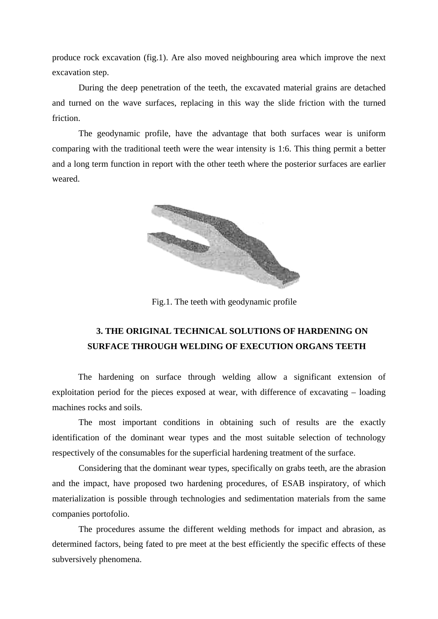produce rock excavation (fig.1). Are also moved neighbouring area which improve the next excavation step.

During the deep penetration of the teeth, the excavated material grains are detached and turned on the wave surfaces, replacing in this way the slide friction with the turned friction.

The geodynamic profile, have the advantage that both surfaces wear is uniform comparing with the traditional teeth were the wear intensity is 1:6. This thing permit a better and a long term function in report with the other teeth where the posterior surfaces are earlier weared.



Fig.1. The teeth with geodynamic profile

# **3. THE ORIGINAL TECHNICAL SOLUTIONS OF HARDENING ON SURFACE THROUGH WELDING OF EXECUTION ORGANS TEETH**

The hardening on surface through welding allow a significant extension of exploitation period for the pieces exposed at wear, with difference of excavating – loading machines rocks and soils.

 The most important conditions in obtaining such of results are the exactly identification of the dominant wear types and the most suitable selection of technology respectively of the consumables for the superficial hardening treatment of the surface.

 Considering that the dominant wear types, specifically on grabs teeth, are the abrasion and the impact, have proposed two hardening procedures, of ESAB inspiratory, of which materialization is possible through technologies and sedimentation materials from the same companies portofolio.

 The procedures assume the different welding methods for impact and abrasion, as determined factors, being fated to pre meet at the best efficiently the specific effects of these subversively phenomena.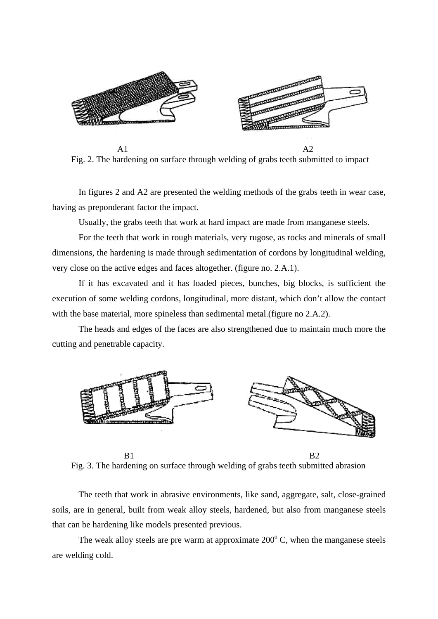

Fig. 2. The hardening on surface through welding of grabs teeth submitted to impact

 In figures 2 and A2 are presented the welding methods of the grabs teeth in wear case, having as preponderant factor the impact.

Usually, the grabs teeth that work at hard impact are made from manganese steels.

 For the teeth that work in rough materials, very rugose, as rocks and minerals of small dimensions, the hardening is made through sedimentation of cordons by longitudinal welding, very close on the active edges and faces altogether. (figure no. 2.A.1).

 If it has excavated and it has loaded pieces, bunches, big blocks, is sufficient the execution of some welding cordons, longitudinal, more distant, which don't allow the contact with the base material, more spineless than sedimental metal.(figure no 2.A.2).

 The heads and edges of the faces are also strengthened due to maintain much more the cutting and penetrable capacity.



B1 B2 Fig. 3. The hardening on surface through welding of grabs teeth submitted abrasion

 The teeth that work in abrasive environments, like sand, aggregate, salt, close-grained soils, are in general, built from weak alloy steels, hardened, but also from manganese steels that can be hardening like models presented previous.

The weak alloy steels are pre warm at approximate  $200^{\circ}$  C, when the manganese steels are welding cold.